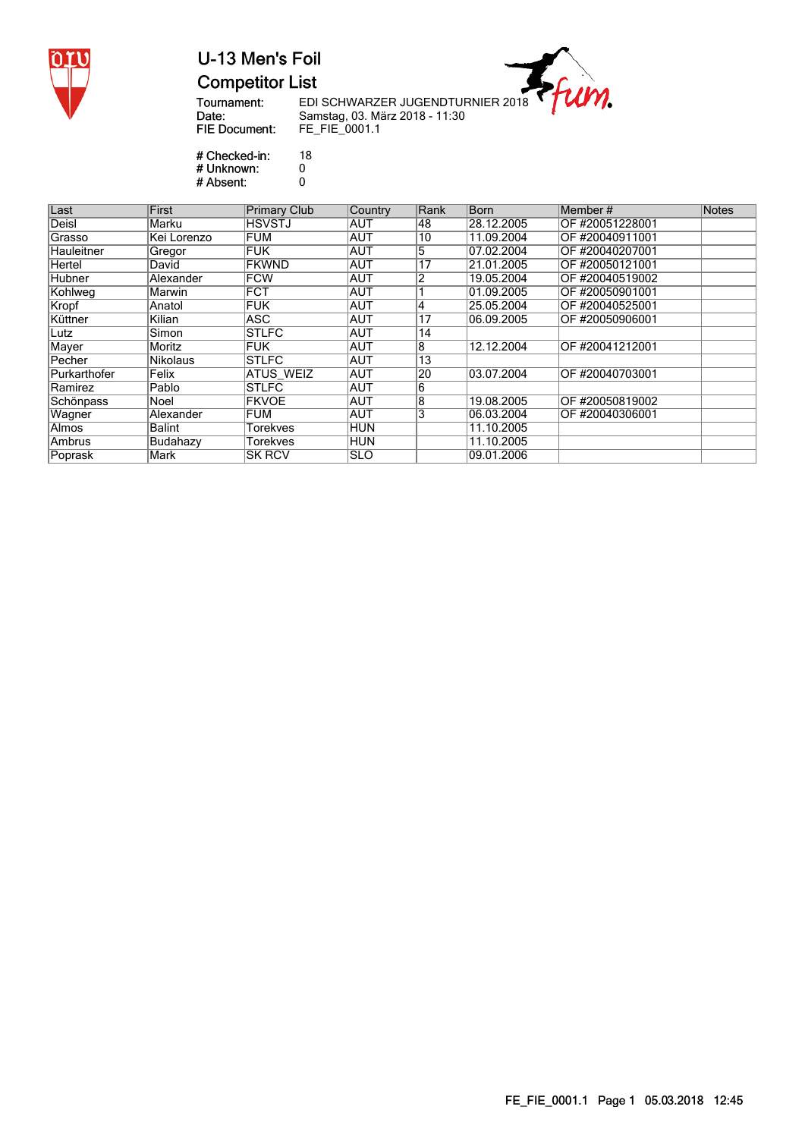

### U-13 Men's Foil **Competitor List**

Tournament:<br>Date: **FIE Document:**  ---<br>EDI SCHWARZER JUGENDTURNIER 2018<br>Samstag, 03. März 2018 - 11:30<br>FE\_FIE\_0001.1

 $\eta$ .

# Checked-in:<br># Unknown: 18  $\overline{0}$ <br> $0$ # Absent:

| Last          | First         | <b>Primary Club</b> | <b>Country</b> | Rank           | <b>Born</b> | Member#         | <b>Notes</b> |
|---------------|---------------|---------------------|----------------|----------------|-------------|-----------------|--------------|
| Deisl         | Marku         | <b>HSVSTJ</b>       | AUT            | 48             | 28.12.2005  | OF #20051228001 |              |
| <b>Grasso</b> | Kei Lorenzo   | FUM                 | AUT            | 10             | 11.09.2004  | OF #20040911001 |              |
| Hauleitner    | Gregor        | <b>FUK</b>          | AUT            | 5              | 07.02.2004  | OF #20040207001 |              |
| Hertel        | David         | <b>FKWND</b>        | AUT            | 17             | 21.01.2005  | OF #20050121001 |              |
| Hubner        | Alexander     | <b>FCW</b>          | AUT            | $\overline{2}$ | 19.05.2004  | OF #20040519002 |              |
| Kohlweg       | Marwin        | <b>FCT</b>          | <b>AUT</b>     |                | 01.09.2005  | OF #20050901001 |              |
| Kropf         | Anatol        | <b>FUK</b>          | <b>AUT</b>     | 4              | 25.05.2004  | OF #20040525001 |              |
| Küttner       | Kilian        | ASC                 | <b>AUT</b>     | 17             | 06.09.2005  | OF #20050906001 |              |
| Lutz          | Simon         | <b>STLFC</b>        | AUT            | 14             |             |                 |              |
| Mayer         | Moritz        | <b>FUK</b>          | AUT            | 8              | 12.12.2004  | OF #20041212001 |              |
| Pecher        | Nikolaus      | <b>STLFC</b>        | AUT            | 13             |             |                 |              |
| Purkarthofer  | Felix         | <b>ATUS WEIZ</b>    | AUT            | 20             | 03.07.2004  | OF #20040703001 |              |
| Ramirez       | Pablo         | <b>STLFC</b>        | AUT            | 6              |             |                 |              |
| Schönpass     | Noel          | <b>FKVOE</b>        | AUT            | 8              | 19.08.2005  | OF #20050819002 |              |
| Wagner        | Alexander     | <b>FUM</b>          | <b>AUT</b>     | 3              | 06.03.2004  | OF #20040306001 |              |
| Almos         | <b>Balint</b> | Torekves            | HUN            |                | 11.10.2005  |                 |              |
| Ambrus        | Budahazy      | Torekves            | HUN            |                | 11.10.2005  |                 |              |
| Poprask       | Mark          | <b>SK RCV</b>       | <b>ISLO</b>    |                | 09.01.2006  |                 |              |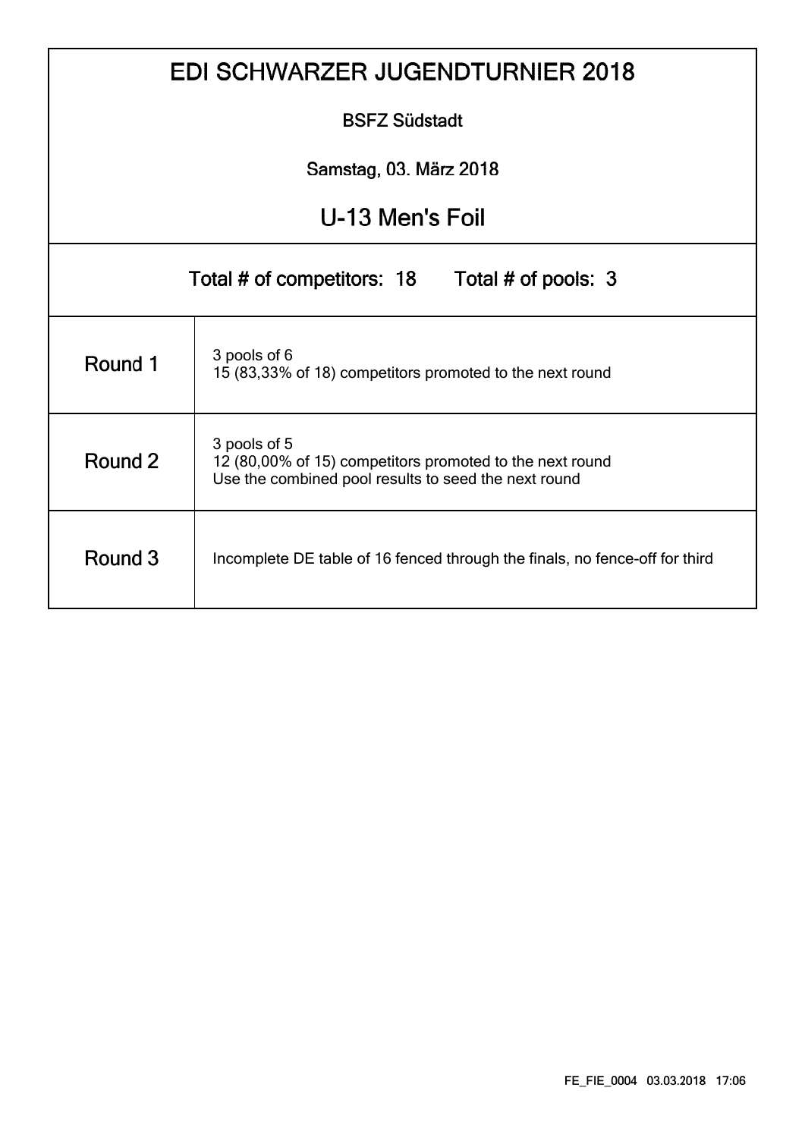|                 | <b>EDI SCHWARZER JUGENDTURNIER 2018</b>                                                                                          |  |  |  |  |  |  |  |  |  |  |
|-----------------|----------------------------------------------------------------------------------------------------------------------------------|--|--|--|--|--|--|--|--|--|--|
|                 | <b>BSFZ Südstadt</b>                                                                                                             |  |  |  |  |  |  |  |  |  |  |
|                 | Samstag, 03. März 2018                                                                                                           |  |  |  |  |  |  |  |  |  |  |
| U-13 Men's Foil |                                                                                                                                  |  |  |  |  |  |  |  |  |  |  |
|                 | Total # of competitors: 18 Total # of pools: 3                                                                                   |  |  |  |  |  |  |  |  |  |  |
| Round 1         | 3 pools of 6<br>15 (83,33% of 18) competitors promoted to the next round                                                         |  |  |  |  |  |  |  |  |  |  |
| Round 2         | 3 pools of 5<br>12 (80,00% of 15) competitors promoted to the next round<br>Use the combined pool results to seed the next round |  |  |  |  |  |  |  |  |  |  |
| Round 3         | Incomplete DE table of 16 fenced through the finals, no fence-off for third                                                      |  |  |  |  |  |  |  |  |  |  |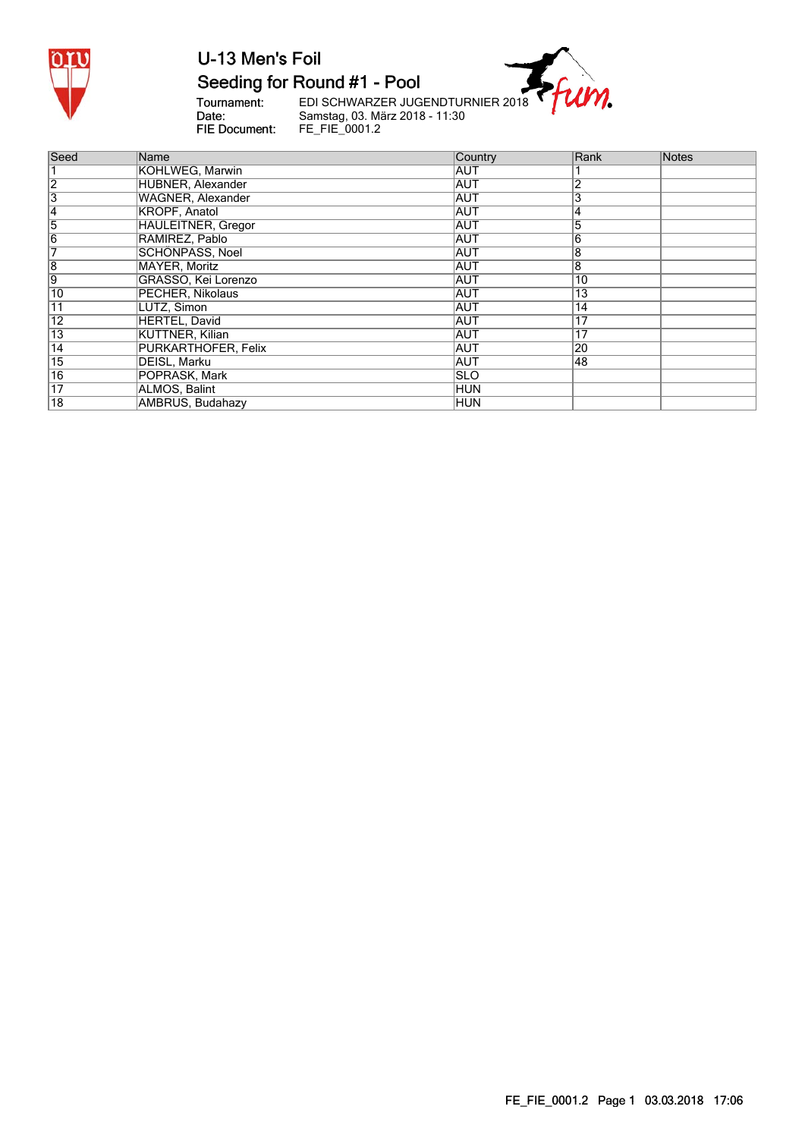

#### Seeding for Round #1 - Pool

Tournament:<br>Date: FIE Document: EDI SCHWARZER JUGENDTURNIER 2018<br>Samstag, 03. März 2018 - 11:30<br>FE\_FIE\_0001.2

m.

| Seed            | Name                      | Country     | Rank            | Notes |
|-----------------|---------------------------|-------------|-----------------|-------|
|                 | KOHLWEG, Marwin           | AUT         |                 |       |
| $\overline{2}$  | HUBNER, Alexander         | <b>AUT</b>  | 2               |       |
| 3               | WAGNER, Alexander         | <b>AUT</b>  | 3               |       |
| 4               | <b>KROPF, Anatol</b>      | <b>AUT</b>  | 4               |       |
| 5               | <b>HAULEITNER, Gregor</b> | <b>AUT</b>  | 5               |       |
| $\overline{6}$  | RAMIREZ, Pablo            | <b>AUT</b>  | 6               |       |
|                 | SCHÖNPASS, Noel           | <b>AUT</b>  | 8               |       |
| $\overline{8}$  | MAYER, Moritz             | <b>AUT</b>  | 8               |       |
| 9               | GRASSO, Kei Lorenzo       | <b>AUT</b>  | 10              |       |
| 10              | PECHER, Nikolaus          | <b>AUT</b>  | $1\overline{3}$ |       |
| 11              | LUTZ, Simon               | <b>AUT</b>  | $1\overline{4}$ |       |
| $\overline{12}$ | <b>HERTEL, David</b>      | <b>AUT</b>  | 17              |       |
| $\overline{13}$ | <b>KÜTTNER, Kilian</b>    | ∣AUT        | $\overline{17}$ |       |
| $\overline{14}$ | PURKARTHOFER, Felix       | ∣AUT        | $\overline{20}$ |       |
| $\overline{15}$ | DEISL, Marku              | <b>AUT</b>  | 48              |       |
| $\overline{16}$ | POPRASK, Mark             | <b>ISLO</b> |                 |       |
| 17              | ALMOS, Balint             | HUN         |                 |       |
| $\overline{18}$ | <b>AMBRUS Budahazy</b>    | IHI IN      |                 |       |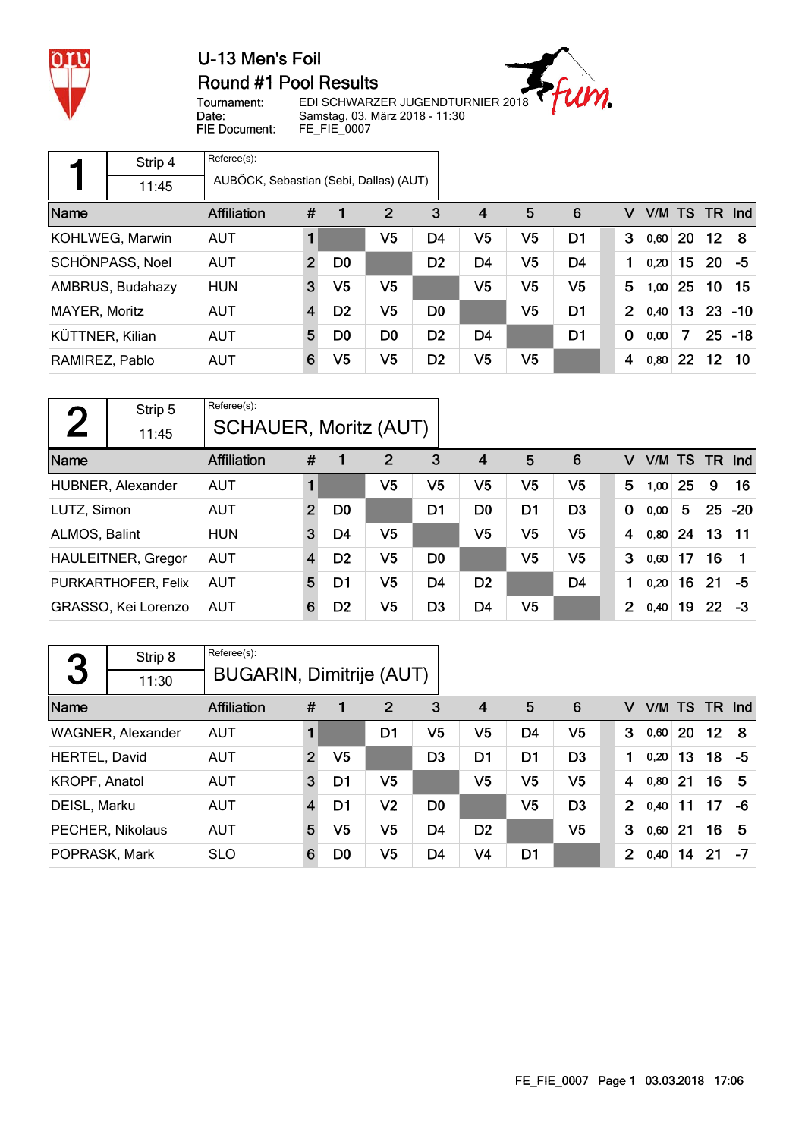

#### U-13 Men's Foil Round #1 Pool Results



Tournament: Date: FIE Document: EDI SCHWARZER JUGENDTURNIER 2018 Samstag, 03. März 2018 - 11:30 FE\_FIE\_0007

|                 | Strip 4          | Referee(s):                            |                |                |                |                |                |                |                |                |       |        |                 |        |
|-----------------|------------------|----------------------------------------|----------------|----------------|----------------|----------------|----------------|----------------|----------------|----------------|-------|--------|-----------------|--------|
|                 | 11:45            | AUBÖCK, Sebastian (Sebi, Dallas) (AUT) |                |                |                |                |                |                |                |                |       |        |                 |        |
| Name            |                  | <b>Affiliation</b>                     | #              |                | 2              | 3              | $\overline{4}$ | 5              | 6              | v              |       | V/M TS |                 | TR Ind |
|                 | KOHLWEG, Marwin  | <b>AUT</b>                             |                |                | V5             | D <sub>4</sub> | V5             | V5             | D <sub>1</sub> | 3              | 0,60  | 20     | 12 <sub>2</sub> | 8      |
|                 | SCHÖNPASS, Noel  | <b>AUT</b>                             | $\overline{2}$ | D <sub>0</sub> |                | D <sub>2</sub> | D <sub>4</sub> | V <sub>5</sub> | D <sub>4</sub> | 1              | 0,20  | 15     | 20              | -5     |
|                 | AMBRUS, Budahazy | <b>HUN</b>                             | 3              | V5             | V <sub>5</sub> |                | V5             | V <sub>5</sub> | V <sub>5</sub> | 5              | 1,00  | 25     | 10              | 15     |
| MAYER, Moritz   |                  | <b>AUT</b>                             | 4              | D <sub>2</sub> | V5             | D <sub>0</sub> |                | V <sub>5</sub> | D <sub>1</sub> | $\overline{2}$ | 0,40  | 13     | 23              | $-10$  |
| KÜTTNER, Kilian |                  | <b>AUT</b>                             | 5              | D <sub>0</sub> | D <sub>0</sub> | D <sub>2</sub> | D <sub>4</sub> |                | D <sub>1</sub> | $\mathbf 0$    | 0,00  | 7      | 25              | $-18$  |
| RAMIREZ, Pablo  |                  | <b>AUT</b>                             | 6              | V5             | V5             | D <sub>2</sub> | V5             | V <sub>5</sub> |                | 4              | 0, 80 | 22     | 12              | 10     |

| $\mathbf{\Omega}$ | Strip 5                   | Referee(s):                  |                |                |                |                |                |    |                |             |      |     |      |         |
|-------------------|---------------------------|------------------------------|----------------|----------------|----------------|----------------|----------------|----|----------------|-------------|------|-----|------|---------|
|                   | 11:45                     | <b>SCHAUER, Moritz (AUT)</b> |                |                |                |                |                |    |                |             |      |     |      |         |
| Name              |                           | <b>Affiliation</b>           | #              |                | 2              | 3              | $\overline{4}$ | 5  | 6              | v           | V/M  | TS. | - TR | $\ln d$ |
|                   | HUBNER, Alexander         | <b>AUT</b>                   |                |                | V <sub>5</sub> | V <sub>5</sub> | V <sub>5</sub> | V5 | V <sub>5</sub> | 5           | 1,00 | 25  | 9    | 16      |
| LUTZ, Simon       |                           | <b>AUT</b>                   | $\overline{2}$ | D <sub>0</sub> |                | D1             | D <sub>0</sub> | D1 | D <sub>3</sub> | $\mathbf 0$ | 0,00 | 5   | 25   | $-20$   |
| ALMOS, Balint     |                           | <b>HUN</b>                   | 3              | D4             | V5             |                | V5             | V5 | V <sub>5</sub> | 4           | 0,80 | 24  | 13   | 11      |
|                   | <b>HAULEITNER, Gregor</b> | <b>AUT</b>                   | $\overline{4}$ | D <sub>2</sub> | V <sub>5</sub> | D <sub>0</sub> |                | V5 | V <sub>5</sub> | 3           | 0,60 | 17  | 16   |         |
|                   | PURKARTHOFER, Felix       | <b>AUT</b>                   | 5              | D1             | V5             | D4             | D <sub>2</sub> |    | D <sub>4</sub> | 1           | 0,20 | 16  | 21   | -5      |
|                   | GRASSO, Kei Lorenzo       | <b>AUT</b>                   | 6              | D <sub>2</sub> | V5             | D <sub>3</sub> | D4             | V5 |                | 2           | 0,40 | 19  | 22   | $-3$    |

|               | Strip 8           | Referee(s):                     |                |    |                |                |                |                |                |                |        |    |    |          |
|---------------|-------------------|---------------------------------|----------------|----|----------------|----------------|----------------|----------------|----------------|----------------|--------|----|----|----------|
| 3             | 11:30             | <b>BUGARIN, Dimitrije (AUT)</b> |                |    |                |                |                |                |                |                |        |    |    |          |
| Name          |                   | <b>Affiliation</b>              | #              |    | $\overline{2}$ | 3              | $\overline{4}$ | 5              | 6              | v              | V/M TS |    |    | $TR$ Ind |
|               | WAGNER, Alexander | <b>AUT</b>                      |                |    | D1             | V5             | V5             | D4             | V <sub>5</sub> | 3              | 0,60   | 20 | 12 | -8       |
| HERTEL, David |                   | <b>AUT</b>                      | $\overline{2}$ | V5 |                | D <sub>3</sub> | D <sub>1</sub> | D <sub>1</sub> | D <sub>3</sub> |                | 0,20   | 13 | 18 | -5       |
| KROPF, Anatol |                   | <b>AUT</b>                      | 3              | D1 | V5             |                | V5             | V5             | V5             | 4              | 0,80   | 21 | 16 | 5        |
| DEISL, Marku  |                   | <b>AUT</b>                      | $\overline{4}$ | D1 | V <sub>2</sub> | D <sub>0</sub> |                | V5             | D <sub>3</sub> | $\overline{2}$ | 0,40   | 11 | 17 | -6       |
|               | PECHER, Nikolaus  | <b>AUT</b>                      | 5              | V5 | V <sub>5</sub> | D <sub>4</sub> | D <sub>2</sub> |                | V <sub>5</sub> | 3              | 0,60   | 21 | 16 | 5        |
| POPRASK, Mark |                   | <b>SLO</b>                      | 6              | D0 | V <sub>5</sub> | D <sub>4</sub> | V4             | D <sub>1</sub> |                | $\overline{2}$ | 0,40   | 14 | 21 | -7       |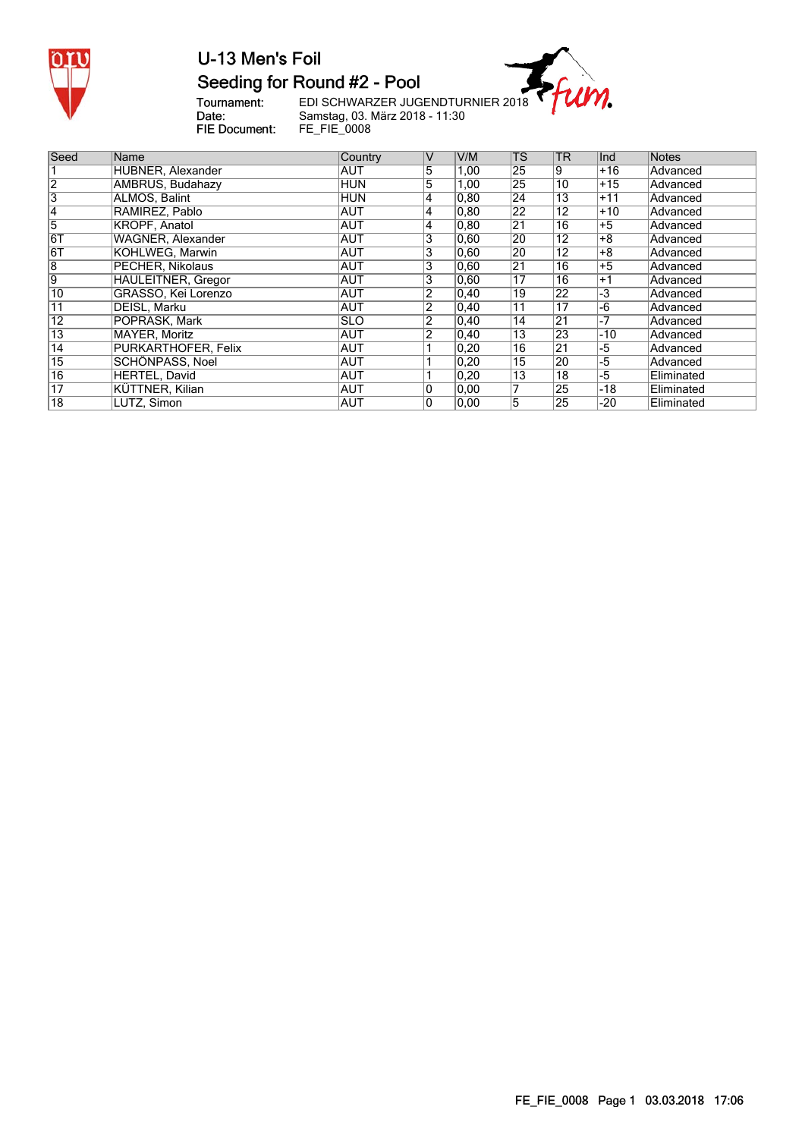

# Seeding for Round #2 - Pool

Tournament:<br>Date:<br>FIE Document:

EDI SCHWARZER JUGENDTURNIER 2018<br>Samstag, 03. März 2018 - 11:30<br>FE\_FIE\_0008

m.

| Seed                    | Name                      | Country    | $\vee$         | V/M            | lTS.            | <b>TR</b>       | Ind   | <b>Notes</b> |
|-------------------------|---------------------------|------------|----------------|----------------|-----------------|-----------------|-------|--------------|
|                         | HUBNER, Alexander         | <b>AUT</b> | 5              | 1,00           | 25              | 9               | $+16$ | Advanced     |
| $\overline{2}$          | <b>AMBRUS, Budahazy</b>   | <b>HUN</b> | 5              | 1,00           | 25              | 10              | $+15$ | Advanced     |
| $\overline{\mathbf{3}}$ | ALMOS. Balint             | <b>HUN</b> | 4              | 0, 80          | 24              | 13              | +11   | Advanced     |
| 14                      | RAMIREZ, Pablo            | <b>AUT</b> | 4              | 0, 80          | $\overline{22}$ | $\overline{12}$ | $+10$ | Advanced     |
| 5                       | <b>KROPF, Anatol</b>      | <b>AUT</b> | 4              | 0, 80          | 21              | 16              | $+5$  | Advanced     |
| 6T                      | <b>WAGNER, Alexander</b>  | <b>AUT</b> | 3              | 0.60           | 20              | $1\overline{2}$ | +8    | Advanced     |
| 61                      | KOHLWEG, Marwin           | <b>AUT</b> | $\overline{3}$ | 0.60           | 20              | 12              | $+8$  | Advanced     |
| 8                       | PECHER, Nikolaus          | <b>AUT</b> | 3              | 0,60           | 21              | 16              | $+5$  | Advanced     |
| $\overline{9}$          | <b>HAULEITNER, Gregor</b> | <b>AUT</b> | 3              | 0,60           | 17              | 16              | $+1$  | Advanced     |
| 10                      | GRASSO, Kei Lorenzo       | AUT        | 2              | 0,40           | 19              | 22              | -3    | Advanced     |
| 11                      | DEISL. Marku              | <b>AUT</b> | $\overline{2}$ | 0,40           | $11$            | 17              | -6    | Advanced     |
| $\overline{12}$         | POPRASK, Mark             | <b>SLO</b> | $\overline{2}$ | $ 0,40\rangle$ | 14              | 21              | -7    | Advanced     |
| 13                      | MAYER, Moritz             | AUT        | $\overline{2}$ | 0,40           | 13              | 23              | $-10$ | Advanced     |
| $\overline{14}$         | PURKARTHOFER, Felix       | <b>AUT</b> |                | 0,20           | $\overline{16}$ | $\overline{21}$ | -5    | Advanced     |
| 15                      | SCHÖNPASS, Noel           | AUT        |                | 0,20           | 15              | 20              | -5    | Advanced     |
| 16                      | HERTEL, David             | <b>AUT</b> |                | 0,20           | 13              | 18              | -5    | Eliminated   |
| $\overline{17}$         | KÜTTNER, Kilian           | AUT        | 0              | 0.00           |                 | 25              | -18   | Eliminated   |
| $\overline{18}$         | LUTZ, Simon               | AUT        | 0              | 0,00           | 15              | 25              | -20   | Eliminated   |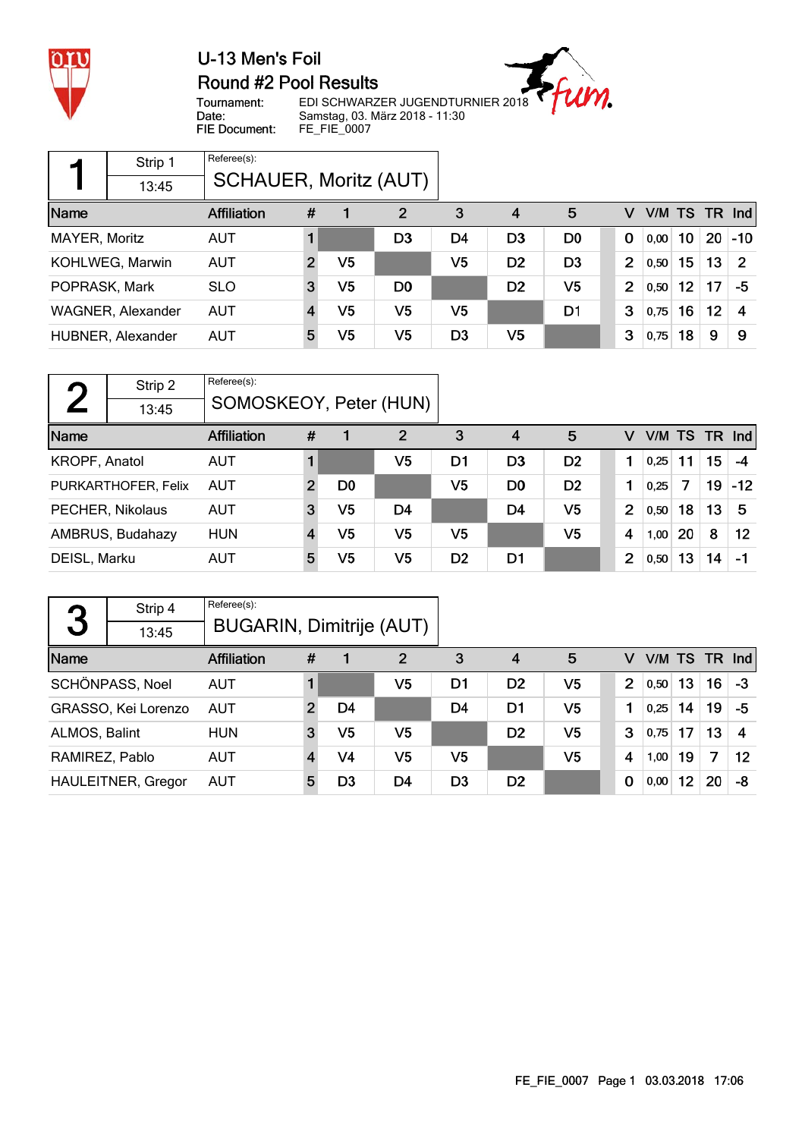

#### U-13 Men's Foil Round #2 Pool Results



Tournament: Date: FIE Document: EDI SCHWARZER JUGENDTURNIER 2018 Samstag, 03. März 2018 - 11:30 FE\_FIE\_0007

|               | Strip 1           | Referee(s):                  |               |                |                |                |                |                |                |           |    |    |                |
|---------------|-------------------|------------------------------|---------------|----------------|----------------|----------------|----------------|----------------|----------------|-----------|----|----|----------------|
|               | 13:45             | <b>SCHAUER, Moritz (AUT)</b> |               |                |                |                |                |                |                |           |    |    |                |
| Name          |                   | <b>Affiliation</b>           | #             |                | $\overline{2}$ | 3              | 4              | 5              | v              | V/M TS TR |    |    | Ind            |
| MAYER, Moritz |                   | <b>AUT</b>                   |               |                | D3             | D4             | D <sub>3</sub> | D <sub>0</sub> | $\mathbf 0$    | 0,00      | 10 | 20 | -10            |
|               | KOHLWEG, Marwin   | <b>AUT</b>                   | $\mathcal{P}$ | V <sub>5</sub> |                | V <sub>5</sub> | D <sub>2</sub> | D <sub>3</sub> | 2              | 0,50      | 15 | 13 | $\overline{2}$ |
| POPRASK, Mark |                   | <b>SLO</b>                   | 3             | V5             | D <sub>0</sub> |                | D <sub>2</sub> | V5             | $\overline{2}$ | 0,50      | 12 | 17 | -5             |
|               | WAGNER, Alexander | <b>AUT</b>                   |               | V <sub>5</sub> | V5             | V5             |                | D1             | 3              | 0,75      | 16 | 12 | 4              |
|               | HUBNER, Alexander | <b>AUT</b>                   | 5             | V5             | V5             | D <sub>3</sub> | V <sub>5</sub> |                | 3              | 0,75      | 18 | 9  | 9              |

| $\blacksquare$ | Strip 2             | Referee(s):            |                |                |    |                |                |                |                |      |    |    |                 |
|----------------|---------------------|------------------------|----------------|----------------|----|----------------|----------------|----------------|----------------|------|----|----|-----------------|
|                | 13:45               | SOMOSKEOY, Peter (HUN) |                |                |    |                |                |                |                |      |    |    |                 |
| Name           |                     | <b>Affiliation</b>     | #              |                | 2  | 3              | 4              | 5              | v              |      |    |    | V/M TS TR $Ind$ |
| KROPF, Anatol  |                     | <b>AUT</b>             |                |                | V5 | D1             | D <sub>3</sub> | D <sub>2</sub> |                | 0,25 | 11 | 15 | $-4$            |
|                | PURKARTHOFER, Felix | <b>AUT</b>             | $\overline{2}$ | D <sub>0</sub> |    | V <sub>5</sub> | D <sub>0</sub> | D <sub>2</sub> |                | 0,25 | 7  | 19 | $-12$           |
|                | PECHER, Nikolaus    | <b>AUT</b>             | 3              | V5             | D4 |                | D <sub>4</sub> | V5             | $\overline{2}$ | 0,50 | 18 | 13 | -5              |
|                | AMBRUS, Budahazy    | <b>HUN</b>             |                | V <sub>5</sub> | V5 | V <sub>5</sub> |                | V5             | 4              | 1,00 | 20 | 8  | 12              |
| DEISL, Marku   |                     | <b>AUT</b>             | 5              | V <sub>5</sub> | V5 | D <sub>2</sub> | D1             |                | $\overline{2}$ | 0,50 | 13 | 14 | -1              |

| 3              | Strip 4                   | Referee(s):                     |   |                |                |                |                |    |                |      |    |               |    |
|----------------|---------------------------|---------------------------------|---|----------------|----------------|----------------|----------------|----|----------------|------|----|---------------|----|
|                | 13:45                     | <b>BUGARIN, Dimitrije (AUT)</b> |   |                |                |                |                |    |                |      |    |               |    |
| Name           |                           | <b>Affiliation</b>              | # |                | 2              | 3              | 4              | 5  | v              |      |    | V/M TS TR Ind |    |
|                | SCHÖNPASS, Noel           | <b>AUT</b>                      |   |                | V5             | D1             | D <sub>2</sub> | V5 | $\overline{2}$ | 0,50 | 13 | 16            | -3 |
|                | GRASSO, Kei Lorenzo       | <b>AUT</b>                      | 2 | D4             |                | D4             | D1             | V5 | 1              | 0,25 | 14 | 19            | -5 |
| ALMOS, Balint  |                           | <b>HUN</b>                      | 3 | V5             | V <sub>5</sub> |                | D <sub>2</sub> | V5 | 3              | 0,75 | 17 | 13            | -4 |
| RAMIREZ, Pablo |                           | <b>AUT</b>                      |   | V <sub>4</sub> | V5             | V5             |                | V5 | $\overline{4}$ | 1,00 | 19 | 7             | 12 |
|                | <b>HAULEITNER, Gregor</b> | <b>AUT</b>                      | 5 | D3             | D <sub>4</sub> | D <sub>3</sub> | D <sub>2</sub> |    | 0              | 0,00 | 12 | 20            | -8 |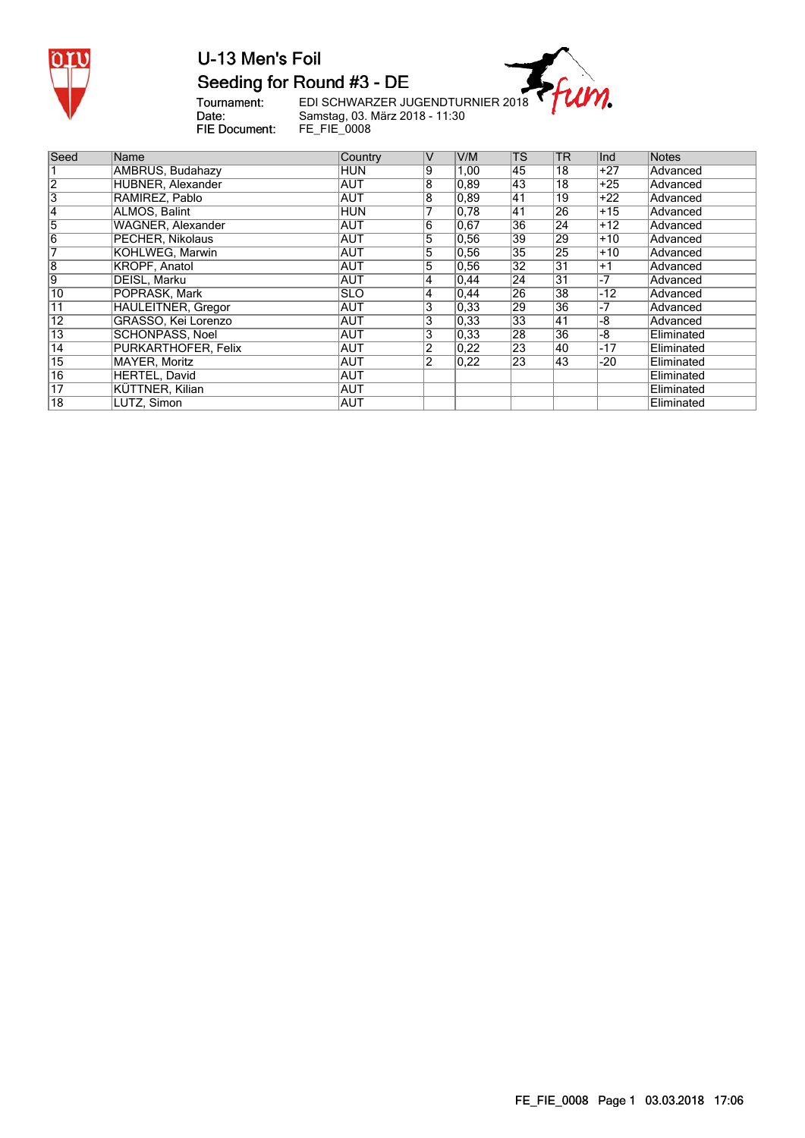

### U-13 Men's Foil Seeding for Round #3 - DE

m.

Tournament:<br>Date:<br>FIE Document:

EDI SCHWARZER JUGENDTURNIER 2018 Samstag, 03. März 2018 - 11:30 FE\_FIE\_0008

| Seed            | Name                       | Country     | $\vee$         | V/M               | $\mathsf{TS}$   | <b>TR</b>       | Ind   | <b>Notes</b> |
|-----------------|----------------------------|-------------|----------------|-------------------|-----------------|-----------------|-------|--------------|
|                 | AMBRUS, Budahazy           | HUN         | 9              | 1,00              | 145             | 18              | +27   | Advanced     |
| 2               | HUBNER, Alexander          | <b>AUT</b>  | 8              | $\overline{0,89}$ | 43              | 18              | $+25$ | Advanced     |
| 3               | RAMIREZ, Pablo             | <b>AUT</b>  | 8              | 0,89              | <b>41</b>       | 19              | $+22$ | Advanced     |
| 14              | ALMOS. Balint              | <b>HUN</b>  |                | 0,78              | 41              | 26              | $+15$ | Advanced     |
| 5               | WAGNER, Alexander          | <b>AUT</b>  | 6              | 0,67              | 36              | 24              | $+12$ | Advanced     |
| $\overline{6}$  | PECHER, Nikolaus           | <b>AUT</b>  | $\overline{5}$ | 0,56              | $\overline{39}$ | 29              | $+10$ | Advanced     |
|                 | KOHLWEG, Marwin            | <b>AUT</b>  | $\overline{5}$ | 0,56              | 35              | $\overline{25}$ | $+10$ | Advanced     |
| 8               | KROPF, Anatol              | AUT         | 5              | 0,56              | 32              | $\overline{31}$ | $+1$  | Advanced     |
| 9               | DEISL. Marku               | <b>AUT</b>  | 4              | 0,44              | $ 24\rangle$    | $\overline{31}$ | -7    | Advanced     |
| 10              | POPRASK. Mark              | <b>ISLO</b> | 4              | 0,44              | 26              | 38              | $-12$ | Advanced     |
| 11              | <b>HAULEITNER, Gregor</b>  | AUT         | 3              | 0,33              | 29              | 36              | -7    | Advanced     |
| $\overline{12}$ | GRASSO, Kei Lorenzo        | <b>AUT</b>  | 3              | 0,33              | 33              | 41              | -8    | Advanced     |
| $\overline{13}$ | SCHÖNPASS, Noel            | <b>AUT</b>  | 3              | 0.33              | 28              | 36              | -8    | Eliminated   |
| $\overline{14}$ | <b>PURKARTHOFER, Felix</b> | <b>AUT</b>  | 2              | 0,22              | $ 23\rangle$    | 40              | -17   | Eliminated   |
| $\overline{15}$ | MAYER, Moritz              | AUT         | 2              | 0,22              | $ 23\rangle$    | 43              | -20   | Eliminated   |
| $\overline{16}$ | HERTEL, David              | AUT         |                |                   |                 |                 |       | Eliminated   |
| 17              | KÜTTNER, Kilian            | AUT         |                |                   |                 |                 |       | Eliminated   |
| $\overline{18}$ | LUTZ, Simon                | AUT         |                |                   |                 |                 |       | Eliminated   |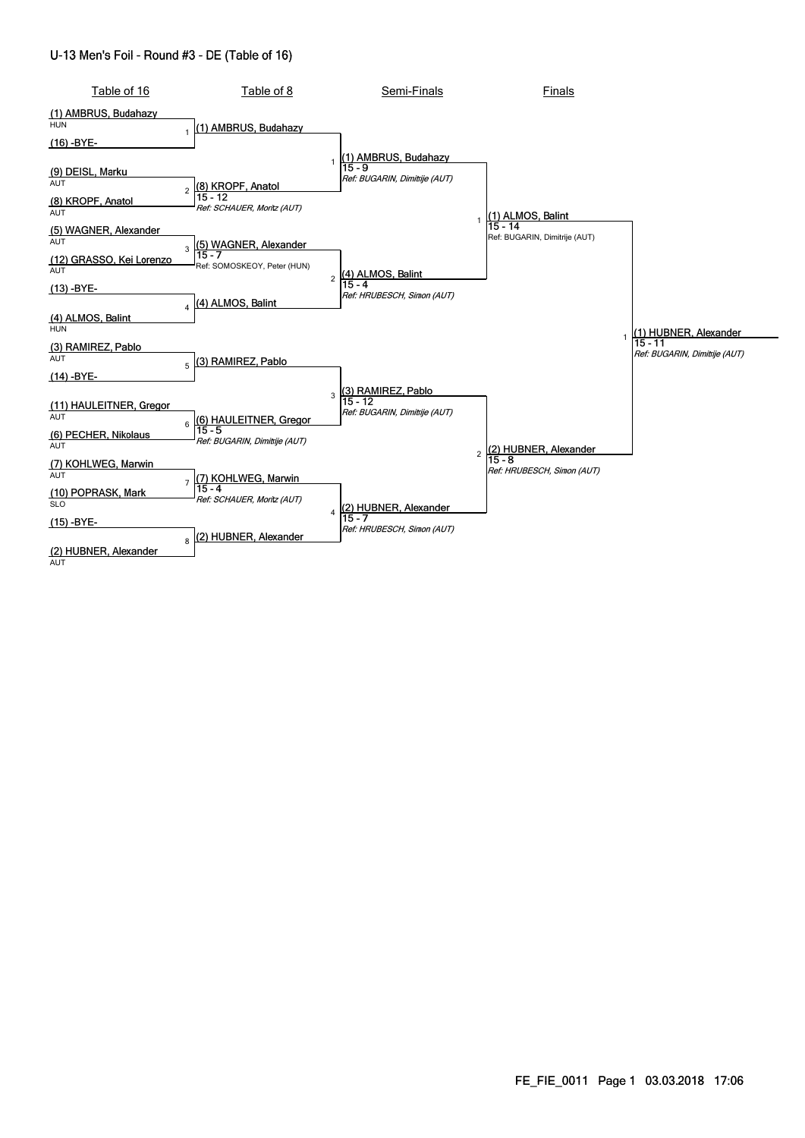#### U-13 Men's Foil - Round #3 - DE (Table of 16)

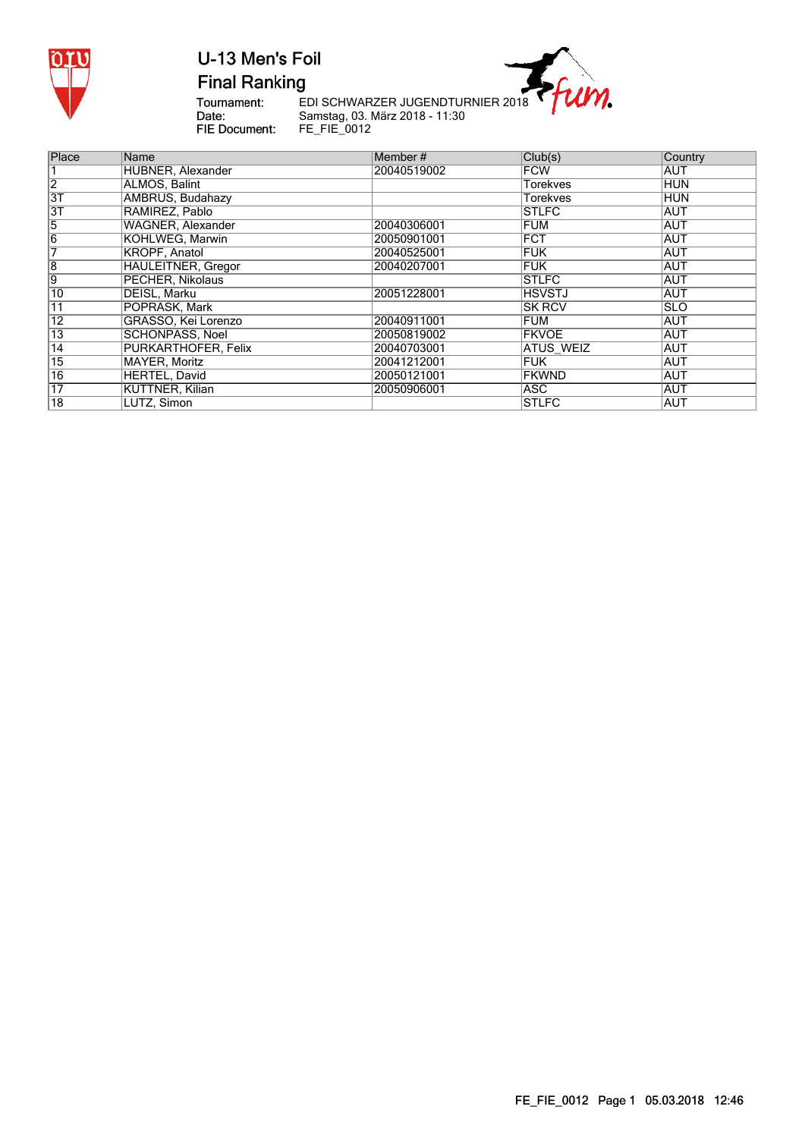

**Final Ranking** 

Tournament: Date: FIE Document: EDI SCHWARZER JUGENDTURNIER 2018 Samstag, 03. März 2018 - 11:30 FE\_FIE\_0012